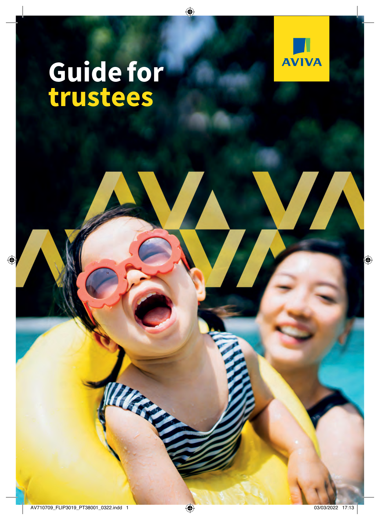

# **Guide for trustees**

William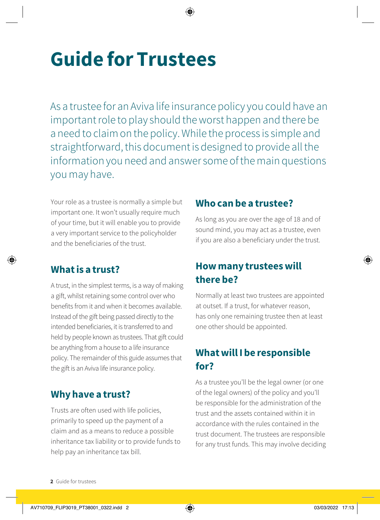## **Guide for Trustees**

As a trustee for an Aviva life insurance policy you could have an important role to play should the worst happen and there be a need to claim on the policy. While the process is simple and straightforward, this document is designed to provide all the information you need and answer some of the main questions you may have.

Your role as a trustee is normally a simple but important one. It won't usually require much of your time, but it will enable you to provide a very important service to the policyholder and the beneficiaries of the trust.

#### **What is a trust?**

A trust, in the simplest terms, is a way of making a gift, whilst retaining some control over who benefits from it and when it becomes available. Instead of the gift being passed directly to the intended beneficiaries, it is transferred to and held by people known as trustees. That gift could be anything from a house to a life insurance policy. The remainder of this guide assumes that the gift is an Aviva life insurance policy.

#### **Why have a trust?**

Trusts are often used with life policies, primarily to speed up the payment of a claim and as a means to reduce a possible inheritance tax liability or to provide funds to help pay an inheritance tax bill.

#### **Who can be a trustee?**

As long as you are over the age of 18 and of sound mind, you may act as a trustee, even if you are also a beneficiary under the trust.

#### **How many trustees will there be?**

Normally at least two trustees are appointed at outset. If a trust, for whatever reason, has only one remaining trustee then at least one other should be appointed.

## **What will I be responsible for?**

As a trustee you'll be the legal owner (or one of the legal owners) of the policy and you'll be responsible for the administration of the trust and the assets contained within it in accordance with the rules contained in the trust document. The trustees are responsible for any trust funds. This may involve deciding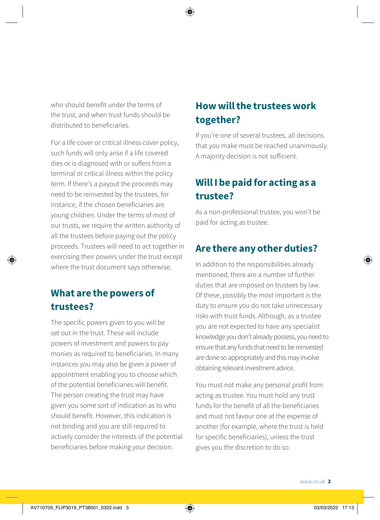who should benefit under the terms of the trust, and when trust funds should be distributed to beneficiaries.

For a life cover or critical illness cover policy, such funds will only arise if a life covered dies or is diagnosed with or suffers from a terminal or critical illness within the policy term. If there's a payout the proceeds may need to be reinvested by the trustees, for instance, if the chosen beneficiaries are young children. Under the terms of most of our trusts, we require the written authority of all the trustees before paying out the policy proceeds. Trustees will need to act together in exercising their powers under the trust except where the trust document says otherwise.

## **What are the powers of trustees?**

The specific powers given to you will be set out in the trust. These will include powers of investment and powers to pay monies as required to beneficiaries. In many instances you may also be given a power of appointment enabling you to choose which of the potential beneficiaries will benefit. The person creating the trust may have given you some sort of indication as to who should benefit. However, this indication is not binding and you are still required to actively consider the interests of the potential beneficiaries before making your decision.

## **How will the trustees work together?**

If you're one of several trustees, all decisions that you make must be reached unanimously. A majority decision is not sufficient.

## **Will I be paid for acting as a trustee?**

As a non-professional trustee, you won't be paid for acting as trustee.

## **Are there any other duties?**

In addition to the responsibilities already mentioned, there are a number of further duties that are imposed on trustees by law. Of these, possibly the most important is the duty to ensure you do not take unnecessary risks with trust funds. Although, as a trustee you are not expected to have any specialist knowledge you don't already possess, you need to ensure that any funds that need to be reinvested are done so appropriately and this may involve obtaining relevant investment advice.

You must not make any personal profit from acting as trustee. You must hold any trust funds for the benefit of all the beneficiaries and must not favour one at the expense of another (for example, where the trust is held for specific beneficiaries), unless the trust gives you the discretion to do so.